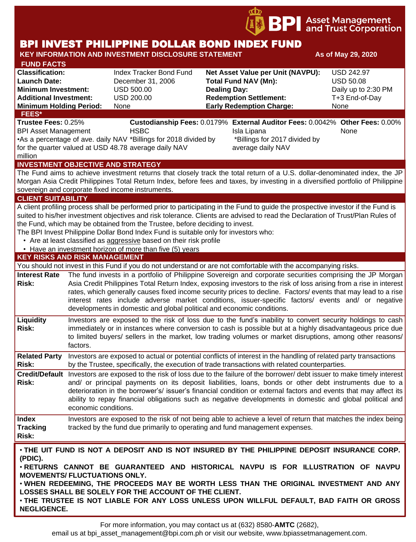

# BPI INVEST PHILIPPINE DOLLAR BOND INDEX FUND

#### **KEY INFORMATION AND INVESTMENT DISCLOSURE STATEMENT And As of May 29, 2020 FUND FACTS Classification:** Index Tracker Bond Fund **Net Asset Value per Unit (NAVPU):** USD 242.97 **Launch Date:** December 31, 2006 **Total Fund NAV (Mn):** USD 50.08 **Minimum Investment:** USD 500.00 **Dealing Day:** Dealing Day: Daily up to 2:30 PM **Additional Investment:** USD 200.00 **Redemption Settlement:** T+3 End-of-Day **Minimum Holding Period:** None **Early Redemption Charge:** None **KEY RISKS AND RISK MANAGEMENT**  You should not invest in this Fund if you do not understand or are not comfortable with the accompanying risks. **Interest Rate**  The fund invests in a portfolio of Philippine Sovereign and corporate securities comprising the JP Morgan **Risk:** Asia Credit Philippines Total Return Index, exposing investors to the risk of loss arising from a rise in interest rates, which generally causes fixed income security prices to decline. Factors/ events that may lead to a rise interest rates include adverse market conditions, issuer-specific factors/ events and/ or negative developments in domestic and global political and economic conditions. **INVESTMENT OBJECTIVE AND STRATEGY** The Fund aims to achieve investment returns that closely track the total return of a U.S. dollar-denominated index, the JP Morgan Asia Credit Philippines Total Return Index, before fees and taxes, by investing in a diversified portfolio of Philippine sovereign and corporate fixed income instruments. **CLIENT SUITABILITY** A client profiling process shall be performed prior to participating in the Fund to guide the prospective investor if the Fund is suited to his/her investment objectives and risk tolerance. Clients are advised to read the Declaration of Trust/Plan Rules of the Fund, which may be obtained from the Trustee, before deciding to invest. The BPI Invest Philippine Dollar Bond Index Fund is suitable only for investors who: • Are at least classified as aggressive based on their risk profile • Have an investment horizon of more than five (5) years **FEES\* Trustee Fees:** 0.25% **Custodianship Fees:** 0.0179% **External Auditor Fees:** 0.0042% **Other Fees:** 0.00% BPI Asset Management **HSBC Isla Lipana** Isla Lipana None •As a percentage of ave. daily NAV \*Billings for 2018 divided by for the quarter valued at USD 48.78 average daily NAV million \*Billings for 2017 divided by average daily NAV

**Liquidity Risk:** Investors are exposed to the risk of loss due to the fund's inability to convert security holdings to cash immediately or in instances where conversion to cash is possible but at a highly disadvantageous price due to limited buyers/ sellers in the market, low trading volumes or market disruptions, among other reasons/ factors.

**Related Party**  Investors are exposed to actual or potential conflicts of interest in the handling of related party transactions **Risk:** by the Trustee, specifically, the execution of trade transactions with related counterparties.

**Credit/Default**  Investors are exposed to the risk of loss due to the failure of the borrower/ debt issuer to make timely interest **Risk:** and/ or principal payments on its deposit liabilities, loans, bonds or other debt instruments due to a deterioration in the borrower's/ issuer's financial condition or external factors and events that may affect its ability to repay financial obligations such as negative developments in domestic and global political and economic conditions.

#### **Index Tracking Risk:** Investors are exposed to the risk of not being able to achieve a level of return that matches the index being tracked by the fund due primarily to operating and fund management expenses.

• **THE UIT FUND IS NOT A DEPOSIT AND IS NOT INSURED BY THE PHILIPPINE DEPOSIT INSURANCE CORP. (PDIC).**

• **RETURNS CANNOT BE GUARANTEED AND HISTORICAL NAVPU IS FOR ILLUSTRATION OF NAVPU MOVEMENTS/ FLUCTUATIONS ONLY.**

• **WHEN REDEEMING, THE PROCEEDS MAY BE WORTH LESS THAN THE ORIGINAL INVESTMENT AND ANY LOSSES SHALL BE SOLELY FOR THE ACCOUNT OF THE CLIENT.**

• **THE TRUSTEE IS NOT LIABLE FOR ANY LOSS UNLESS UPON WILLFUL DEFAULT, BAD FAITH OR GROSS NEGLIGENCE.**

For more information, you may contact us at (632) 8580-**AMTC** (2682),

email us at bpi asset management@bpi.com.ph or visit our website, www.bpiassetmanagement.com.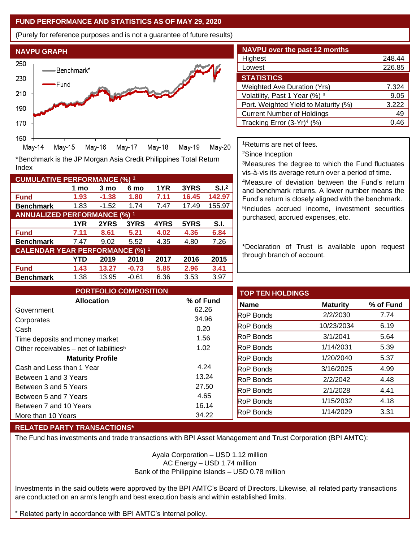### **FUND PERFORMANCE AND STATISTICS AS OF MAY 29, 2020**

(Purely for reference purposes and is not a guarantee of future results)



**Fund 1.93 -1.38 1.80 7.11 16.45 142.97 Benchmark** 1.83 -1.52 1.74 7.47 17.49 155.97

\*Benchmark is the JP Morgan Asia Credit Philippines Total Return

**Fund 7.11 8.61 5.21 4.02 4.36 6.84 Benchmark** 7.47 9.02 5.52 4.35 4.80 7.26

**Fund 1.43 13.27 -0.73 5.85 2.96 3.41 Benchmark** 1.38 13.95 -0.61 6.36 3.53 3.97

**1 mo 3 mo 6 mo 1YR 3YRS S.I.<sup>2</sup>**

**1YR 2YRS 3YRS 4YRS 5YRS S.I.**

**YTD 2019 2018 2017 2016 2015**

| <b>NAVPU over the past 12 months</b>   |        |
|----------------------------------------|--------|
| Highest                                | 248.44 |
| Lowest                                 | 226.85 |
| <b>STATISTICS</b>                      |        |
| <b>Weighted Ave Duration (Yrs)</b>     | 7.324  |
| Volatility, Past 1 Year (%) 3          | 9.05   |
| Port. Weighted Yield to Maturity (%)   | 3.222  |
| <b>Current Number of Holdings</b>      | 49     |
| Tracking Error (3-Yr) <sup>4</sup> (%) | 0.46   |

<sup>1</sup>Returns are net of fees.

<sup>2</sup>Since Inception

<sup>3</sup>Measures the degree to which the Fund fluctuates vis-à-vis its average return over a period of time.

<sup>4</sup>Measure of deviation between the Fund's return and benchmark returns. A lower number means the Fund's return is closely aligned with the benchmark. 5 Includes accrued income, investment securities purchased, accrued expenses, etc.

\*Declaration of Trust is available upon request through branch of account.

| <b>PORTFOLIO COMPOSITION</b>                        |           | <b>TOP TEN HOLDINGS</b> |                 |           |
|-----------------------------------------------------|-----------|-------------------------|-----------------|-----------|
| <b>Allocation</b>                                   | % of Fund | <b>Name</b>             | <b>Maturity</b> | % of Fund |
| Government                                          | 62.26     | <b>RoP Bonds</b>        | 2/2/2030        | 7.74      |
| Corporates                                          | 34.96     |                         |                 |           |
| Cash                                                | 0.20      | <b>RoP Bonds</b>        | 10/23/2034      | 6.19      |
| Time deposits and money market                      | 1.56      | <b>RoP</b> Bonds        | 3/1/2041        | 5.64      |
| Other receivables – net of liabilities <sup>5</sup> | 1.02      | <b>RoP Bonds</b>        | 1/14/2031       | 5.39      |
| <b>Maturity Profile</b>                             |           | <b>RoP Bonds</b>        | 1/20/2040       | 5.37      |
| Cash and Less than 1 Year                           | 4.24      | <b>RoP Bonds</b>        | 3/16/2025       | 4.99      |
| Between 1 and 3 Years                               | 13.24     | <b>RoP Bonds</b>        | 2/2/2042        | 4.48      |
| Between 3 and 5 Years                               | 27.50     | <b>RoP Bonds</b>        | 2/1/2028        | 4.41      |
| Between 5 and 7 Years                               | 4.65      |                         |                 |           |
| Between 7 and 10 Years                              | 16.14     | <b>RoP Bonds</b>        | 1/15/2032       | 4.18      |
| More than 10 Years                                  | 34.22     | <b>RoP Bonds</b>        | 1/14/2029       | 3.31      |

# **RELATED PARTY TRANSACTIONS\***

**CUMULATIVE PERFORMANCE (%) <sup>1</sup>**

Index

**ANNUALIZED PERFORMANCE (%) <sup>1</sup>**

**CALENDAR YEAR PERFORMANCE (%) <sup>1</sup>**

The Fund has investments and trade transactions with BPI Asset Management and Trust Corporation (BPI AMTC):

Ayala Corporation – USD 1.12 million AC Energy – USD 1.74 million Bank of the Philippine Islands – USD 0.78 million

Investments in the said outlets were approved by the BPI AMTC's Board of Directors. Likewise, all related party transactions are conducted on an arm's length and best execution basis and within established limits.

\* Related party in accordance with BPI AMTC's internal policy.